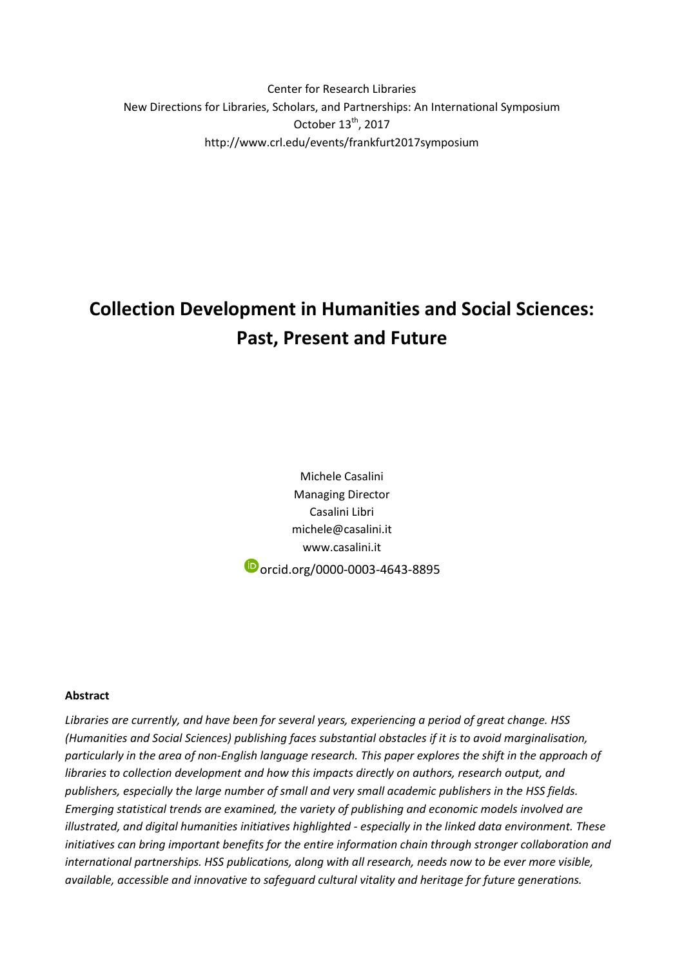Center for Research Libraries New Directions for Libraries, Scholars, and Partnerships: An International Symposium October 13<sup>th</sup>, 2017 http://www.crl.edu/events/frankfurt2017symposium

# **Collection Development in Humanities and Social Sciences: Past, Present and Future**

Michele Casalini Managing Director Casalini Libri michele@casalini.it www.casalini.it orcid.org/0000-0003-4643-8895

#### **Abstract**

*Libraries are currently, and have been for several years, experiencing a period of great change. HSS (Humanities and Social Sciences) publishing faces substantial obstacles if it is to avoid marginalisation, particularly in the area of non-English language research. This paper explores the shift in the approach of libraries to collection development and how this impacts directly on authors, research output, and publishers, especially the large number of small and very small academic publishers in the HSS fields. Emerging statistical trends are examined, the variety of publishing and economic models involved are illustrated, and digital humanities initiatives highlighted - especially in the linked data environment. These initiatives can bring important benefits for the entire information chain through stronger collaboration and international partnerships. HSS publications, along with all research, needs now to be ever more visible, available, accessible and innovative to safeguard cultural vitality and heritage for future generations.*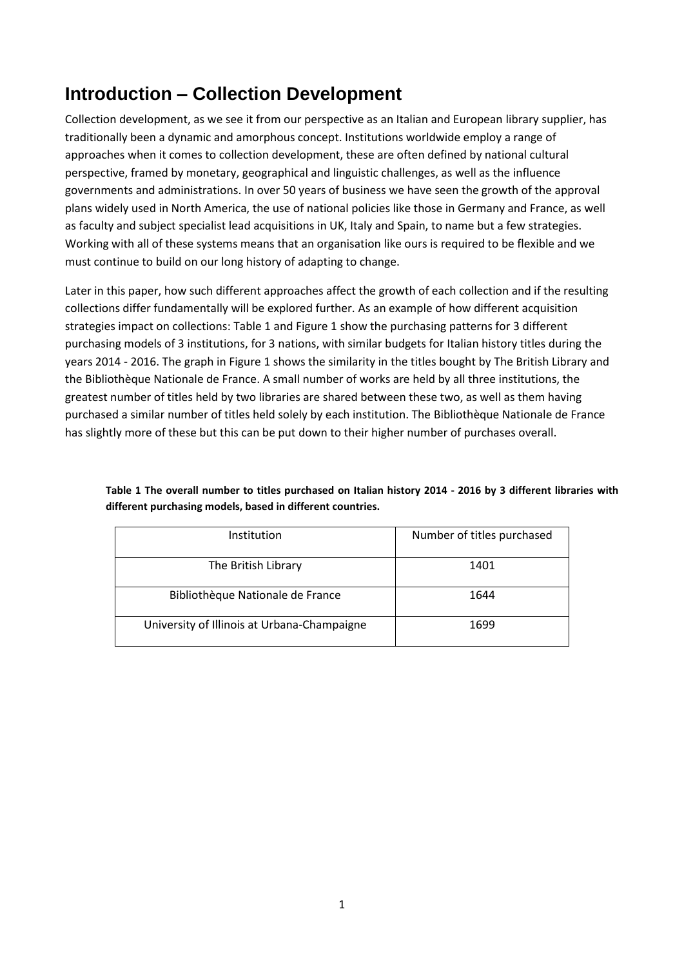## **Introduction – Collection Development**

Collection development, as we see it from our perspective as an Italian and European library supplier, has traditionally been a dynamic and amorphous concept. Institutions worldwide employ a range of approaches when it comes to collection development, these are often defined by national cultural perspective, framed by monetary, geographical and linguistic challenges, as well as the influence governments and administrations. In over 50 years of business we have seen the growth of the approval plans widely used in North America, the use of national policies like those in Germany and France, as well as faculty and subject specialist lead acquisitions in UK, Italy and Spain, to name but a few strategies. Working with all of these systems means that an organisation like ours is required to be flexible and we must continue to build on our long history of adapting to change.

Later in this paper, how such different approaches affect the growth of each collection and if the resulting collections differ fundamentally will be explored further. As an example of how different acquisition strategies impact on collections: Table 1 and Figure 1 show the purchasing patterns for 3 different purchasing models of 3 institutions, for 3 nations, with similar budgets for Italian history titles during the years 2014 - 2016. The graph in Figure 1 shows the similarity in the titles bought by The British Library and the Bibliothèque Nationale de France. A small number of works are held by all three institutions, the greatest number of titles held by two libraries are shared between these two, as well as them having purchased a similar number of titles held solely by each institution. The Bibliothèque Nationale de France has slightly more of these but this can be put down to their higher number of purchases overall.

| Institution                                 | Number of titles purchased |  |
|---------------------------------------------|----------------------------|--|
| The British Library                         | 1401                       |  |
| Bibliothèque Nationale de France            | 1644                       |  |
| University of Illinois at Urbana-Champaigne | 1699                       |  |

**Table 1 The overall number to titles purchased on Italian history 2014 - 2016 by 3 different libraries with different purchasing models, based in different countries.**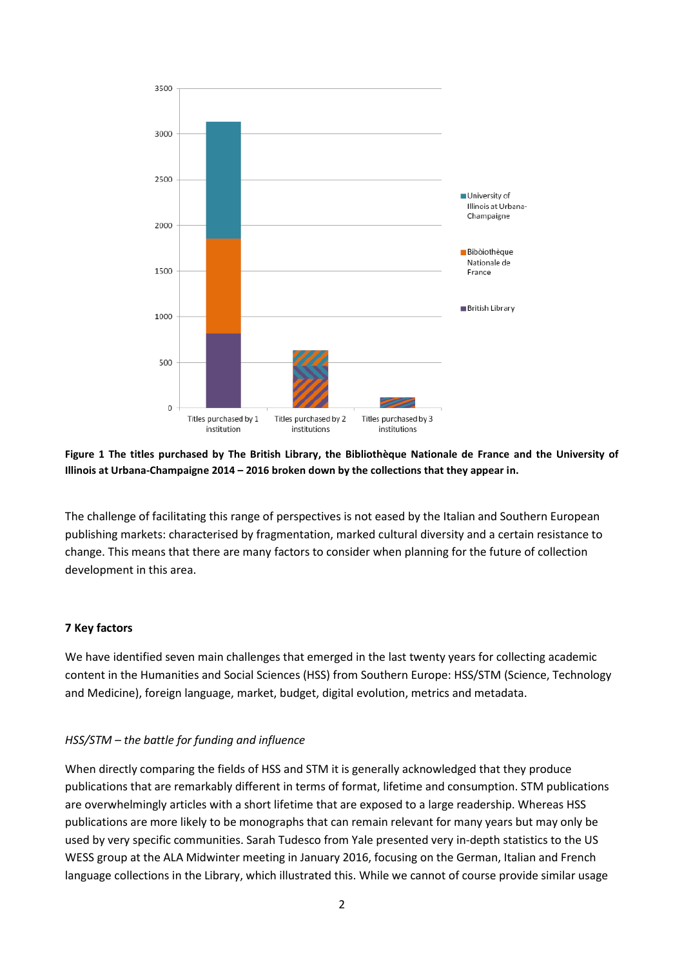

#### **Figure 1 The titles purchased by The British Library, the Bibliothèque Nationale de France and the University of Illinois at Urbana-Champaigne 2014 – 2016 broken down by the collections that they appear in.**

The challenge of facilitating this range of perspectives is not eased by the Italian and Southern European publishing markets: characterised by fragmentation, marked cultural diversity and a certain resistance to change. This means that there are many factors to consider when planning for the future of collection development in this area.

#### **7 Key factors**

We have identified seven main challenges that emerged in the last twenty years for collecting academic content in the Humanities and Social Sciences (HSS) from Southern Europe: HSS/STM (Science, Technology and Medicine), foreign language, market, budget, digital evolution, metrics and metadata.

#### *HSS/STM – the battle for funding and influence*

When directly comparing the fields of HSS and STM it is generally acknowledged that they produce publications that are remarkably different in terms of format, lifetime and consumption. STM publications are overwhelmingly articles with a short lifetime that are exposed to a large readership. Whereas HSS publications are more likely to be monographs that can remain relevant for many years but may only be used by very specific communities. Sarah Tudesco from Yale presented very in-depth statistics to the US WESS group at the ALA Midwinter meeting in January 2016, focusing on the German, Italian and French language collections in the Library, which illustrated this. While we cannot of course provide similar usage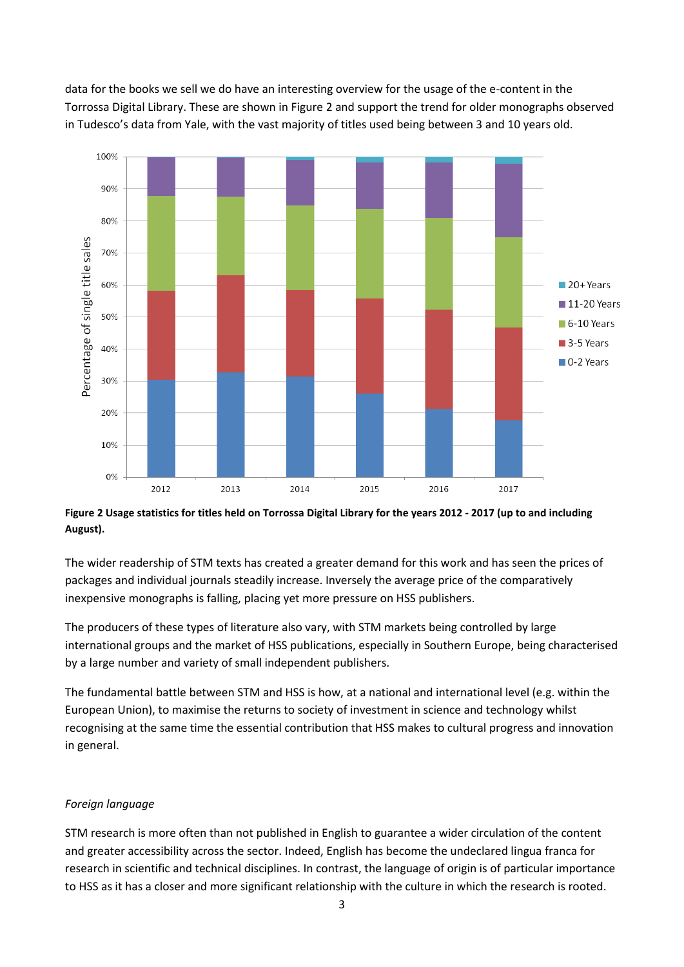data for the books we sell we do have an interesting overview for the usage of the e-content in the Torrossa Digital Library. These are shown in Figure 2 and support the trend for older monographs observed in Tudesco's data from Yale, with the vast majority of titles used being between 3 and 10 years old.



**Figure 2 Usage statistics for titles held on Torrossa Digital Library for the years 2012 - 2017 (up to and including August).**

The wider readership of STM texts has created a greater demand for this work and has seen the prices of packages and individual journals steadily increase. Inversely the average price of the comparatively inexpensive monographs is falling, placing yet more pressure on HSS publishers.

The producers of these types of literature also vary, with STM markets being controlled by large international groups and the market of HSS publications, especially in Southern Europe, being characterised by a large number and variety of small independent publishers.

The fundamental battle between STM and HSS is how, at a national and international level (e.g. within the European Union), to maximise the returns to society of investment in science and technology whilst recognising at the same time the essential contribution that HSS makes to cultural progress and innovation in general.

#### *Foreign language*

STM research is more often than not published in English to guarantee a wider circulation of the content and greater accessibility across the sector. Indeed, English has become the undeclared lingua franca for research in scientific and technical disciplines. In contrast, the language of origin is of particular importance to HSS as it has a closer and more significant relationship with the culture in which the research is rooted.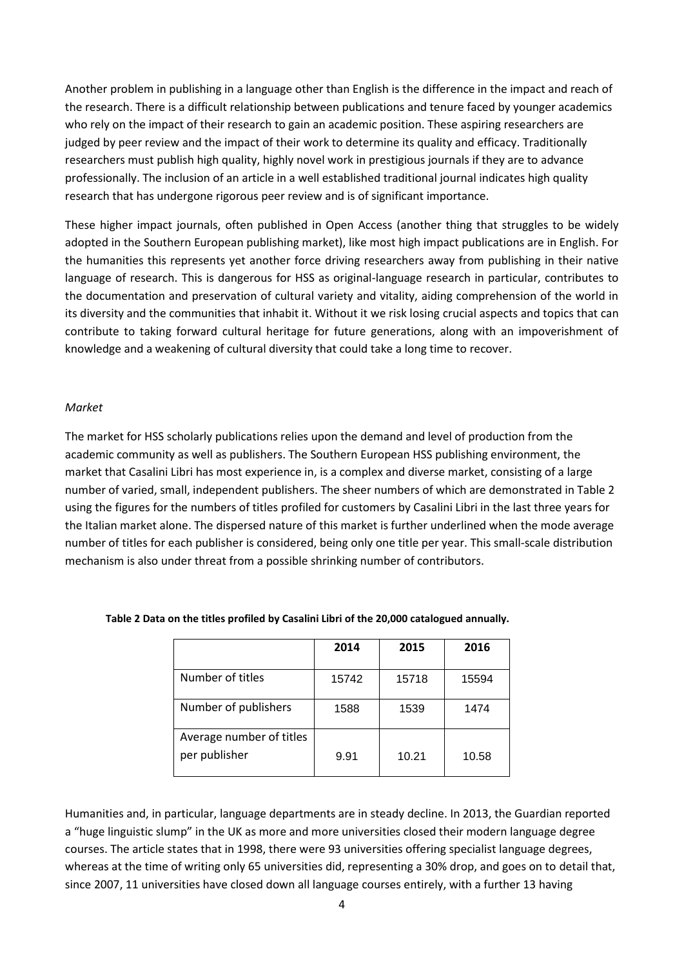Another problem in publishing in a language other than English is the difference in the impact and reach of the research. There is a difficult relationship between publications and tenure faced by younger academics who rely on the impact of their research to gain an academic position. These aspiring researchers are judged by peer review and the impact of their work to determine its quality and efficacy. Traditionally researchers must publish high quality, highly novel work in prestigious journals if they are to advance professionally. The inclusion of an article in a well established traditional journal indicates high quality research that has undergone rigorous peer review and is of significant importance.

These higher impact journals, often published in Open Access (another thing that struggles to be widely adopted in the Southern European publishing market), like most high impact publications are in English. For the humanities this represents yet another force driving researchers away from publishing in their native language of research. This is dangerous for HSS as original-language research in particular, contributes to the documentation and preservation of cultural variety and vitality, aiding comprehension of the world in its diversity and the communities that inhabit it. Without it we risk losing crucial aspects and topics that can contribute to taking forward cultural heritage for future generations, along with an impoverishment of knowledge and a weakening of cultural diversity that could take a long time to recover.

#### *Market*

The market for HSS scholarly publications relies upon the demand and level of production from the academic community as well as publishers. The Southern European HSS publishing environment, the market that Casalini Libri has most experience in, is a complex and diverse market, consisting of a large number of varied, small, independent publishers. The sheer numbers of which are demonstrated in Table 2 using the figures for the numbers of titles profiled for customers by Casalini Libri in the last three years for the Italian market alone. The dispersed nature of this market is further underlined when the mode average number of titles for each publisher is considered, being only one title per year. This small-scale distribution mechanism is also under threat from a possible shrinking number of contributors.

|                                           | 2014  | 2015  | 2016  |
|-------------------------------------------|-------|-------|-------|
| Number of titles                          | 15742 | 15718 | 15594 |
| Number of publishers                      | 1588  | 1539  | 1474  |
| Average number of titles<br>per publisher | 9.91  | 10.21 | 10.58 |

#### **Table 2 Data on the titles profiled by Casalini Libri of the 20,000 catalogued annually.**

Humanities and, in particular, language departments are in steady decline. In 2013, the Guardian reported a "huge linguistic slump" in the UK as more and more universities closed their modern language degree courses. The article states that in 1998, there were 93 universities offering specialist language degrees, whereas at the time of writing only 65 universities did, representing a 30% drop, and goes on to detail that, since 2007, 11 universities have closed down all language courses entirely, with a further 13 having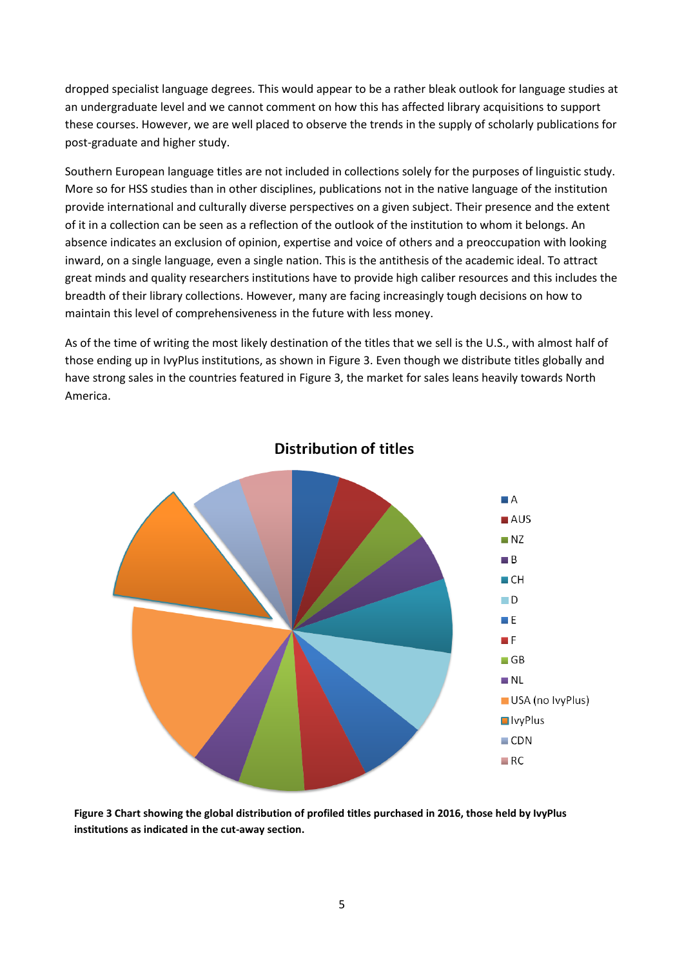dropped specialist language degrees. This would appear to be a rather bleak outlook for language studies at an undergraduate level and we cannot comment on how this has affected library acquisitions to support these courses. However, we are well placed to observe the trends in the supply of scholarly publications for post-graduate and higher study.

Southern European language titles are not included in collections solely for the purposes of linguistic study. More so for HSS studies than in other disciplines, publications not in the native language of the institution provide international and culturally diverse perspectives on a given subject. Their presence and the extent of it in a collection can be seen as a reflection of the outlook of the institution to whom it belongs. An absence indicates an exclusion of opinion, expertise and voice of others and a preoccupation with looking inward, on a single language, even a single nation. This is the antithesis of the academic ideal. To attract great minds and quality researchers institutions have to provide high caliber resources and this includes the breadth of their library collections. However, many are facing increasingly tough decisions on how to maintain this level of comprehensiveness in the future with less money.

As of the time of writing the most likely destination of the titles that we sell is the U.S., with almost half of those ending up in IvyPlus institutions, as shown in Figure 3. Even though we distribute titles globally and have strong sales in the countries featured in Figure 3, the market for sales leans heavily towards North America.



### Distribution of titles

**Figure 3 Chart showing the global distribution of profiled titles purchased in 2016, those held by IvyPlus institutions as indicated in the cut-away section.**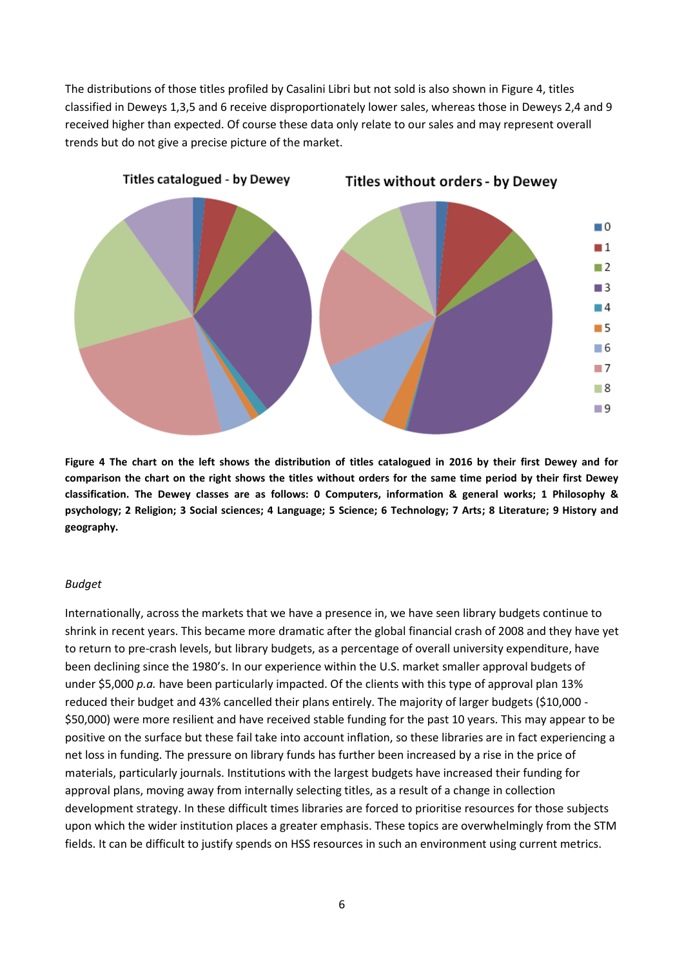The distributions of those titles profiled by Casalini Libri but not sold is also shown in Figure 4, titles classified in Deweys 1,3,5 and 6 receive disproportionately lower sales, whereas those in Deweys 2,4 and 9 received higher than expected. Of course these data only relate to our sales and may represent overall trends but do not give a precise picture of the market.



**Figure 4 The chart on the left shows the distribution of titles catalogued in 2016 by their first Dewey and for comparison the chart on the right shows the titles without orders for the same time period by their first Dewey classification. The Dewey classes are as follows: 0 Computers, information & general works; 1 Philosophy & psychology; 2 Religion; 3 Social sciences; 4 Language; 5 Science; 6 Technology; 7 Arts; 8 Literature; 9 History and geography.**

#### *Budget*

Internationally, across the markets that we have a presence in, we have seen library budgets continue to shrink in recent years. This became more dramatic after the global financial crash of 2008 and they have yet to return to pre-crash levels, but library budgets, as a percentage of overall university expenditure, have been declining since the 1980's. In our experience within the U.S. market smaller approval budgets of under \$5,000 *p.a.* have been particularly impacted. Of the clients with this type of approval plan 13% reduced their budget and 43% cancelled their plans entirely. The majority of larger budgets (\$10,000 - \$50,000) were more resilient and have received stable funding for the past 10 years. This may appear to be positive on the surface but these fail take into account inflation, so these libraries are in fact experiencing a net loss in funding. The pressure on library funds has further been increased by a rise in the price of materials, particularly journals. Institutions with the largest budgets have increased their funding for approval plans, moving away from internally selecting titles, as a result of a change in collection development strategy. In these difficult times libraries are forced to prioritise resources for those subjects upon which the wider institution places a greater emphasis. These topics are overwhelmingly from the STM fields. It can be difficult to justify spends on HSS resources in such an environment using current metrics.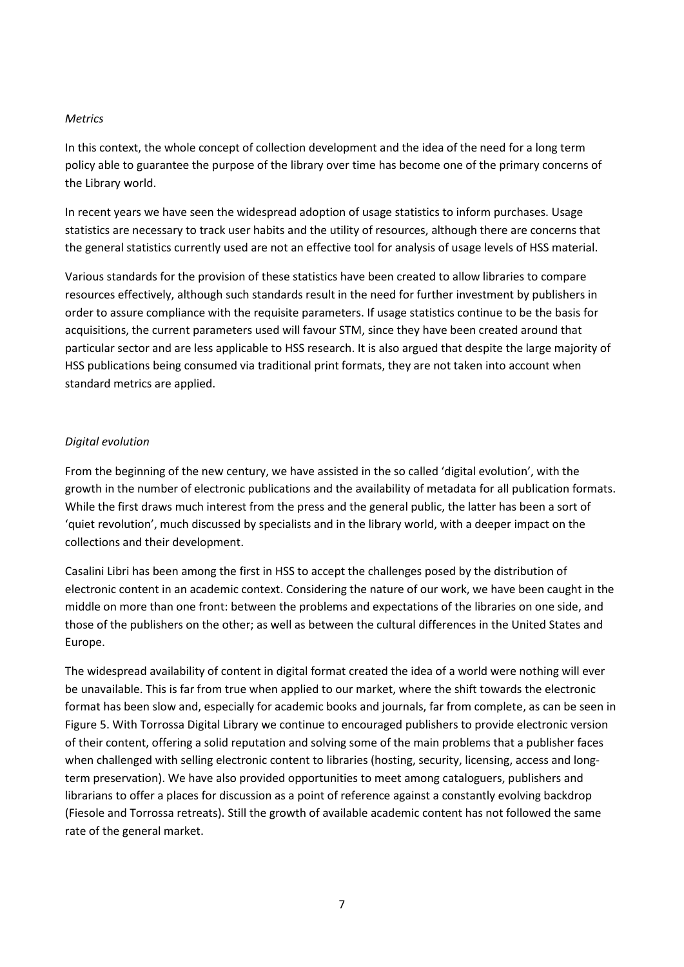#### *Metrics*

In this context, the whole concept of collection development and the idea of the need for a long term policy able to guarantee the purpose of the library over time has become one of the primary concerns of the Library world.

In recent years we have seen the widespread adoption of usage statistics to inform purchases. Usage statistics are necessary to track user habits and the utility of resources, although there are concerns that the general statistics currently used are not an effective tool for analysis of usage levels of HSS material.

Various standards for the provision of these statistics have been created to allow libraries to compare resources effectively, although such standards result in the need for further investment by publishers in order to assure compliance with the requisite parameters. If usage statistics continue to be the basis for acquisitions, the current parameters used will favour STM, since they have been created around that particular sector and are less applicable to HSS research. It is also argued that despite the large majority of HSS publications being consumed via traditional print formats, they are not taken into account when standard metrics are applied.

#### *Digital evolution*

From the beginning of the new century, we have assisted in the so called 'digital evolution', with the growth in the number of electronic publications and the availability of metadata for all publication formats. While the first draws much interest from the press and the general public, the latter has been a sort of 'quiet revolution', much discussed by specialists and in the library world, with a deeper impact on the collections and their development.

Casalini Libri has been among the first in HSS to accept the challenges posed by the distribution of electronic content in an academic context. Considering the nature of our work, we have been caught in the middle on more than one front: between the problems and expectations of the libraries on one side, and those of the publishers on the other; as well as between the cultural differences in the United States and Europe.

The widespread availability of content in digital format created the idea of a world were nothing will ever be unavailable. This is far from true when applied to our market, where the shift towards the electronic format has been slow and, especially for academic books and journals, far from complete, as can be seen in Figure 5. With Torrossa Digital Library we continue to encouraged publishers to provide electronic version of their content, offering a solid reputation and solving some of the main problems that a publisher faces when challenged with selling electronic content to libraries (hosting, security, licensing, access and longterm preservation). We have also provided opportunities to meet among cataloguers, publishers and librarians to offer a places for discussion as a point of reference against a constantly evolving backdrop (Fiesole and Torrossa retreats). Still the growth of available academic content has not followed the same rate of the general market.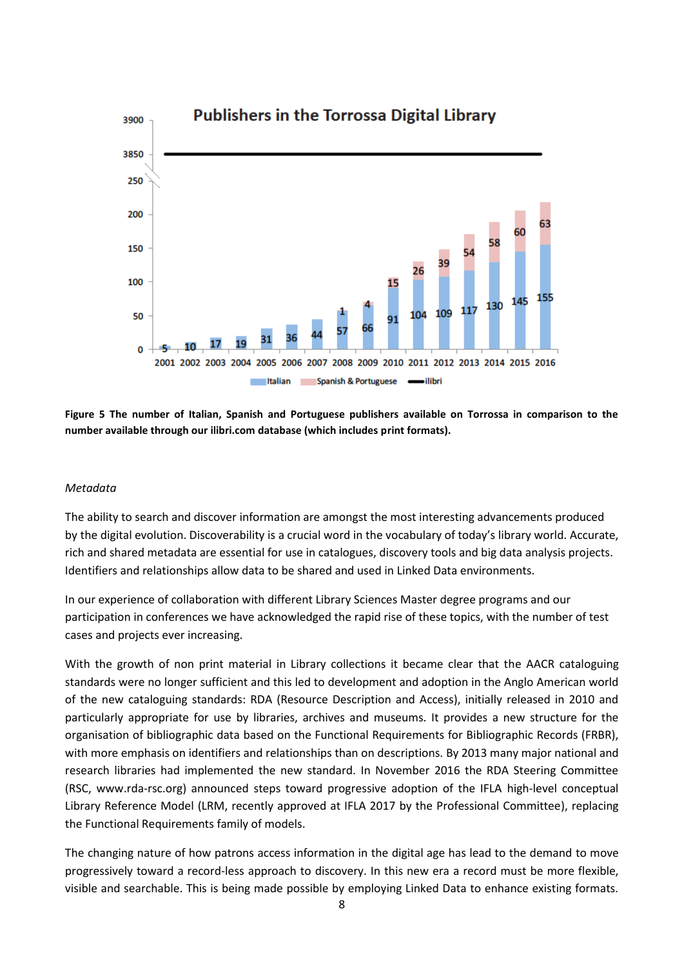

**Figure 5 The number of Italian, Spanish and Portuguese publishers available on Torrossa in comparison to the number available through our ilibri.com database (which includes print formats).**

#### *Metadata*

The ability to search and discover information are amongst the most interesting advancements produced by the digital evolution. Discoverability is a crucial word in the vocabulary of today's library world. Accurate, rich and shared metadata are essential for use in catalogues, discovery tools and big data analysis projects. Identifiers and relationships allow data to be shared and used in Linked Data environments.

In our experience of collaboration with different Library Sciences Master degree programs and our participation in conferences we have acknowledged the rapid rise of these topics, with the number of test cases and projects ever increasing.

With the growth of non print material in Library collections it became clear that the AACR cataloguing standards were no longer sufficient and this led to development and adoption in the Anglo American world of the new cataloguing standards: RDA (Resource Description and Access), initially released in 2010 and particularly appropriate for use by libraries, archives and museums. It provides a new structure for the organisation of bibliographic data based on the Functional Requirements for Bibliographic Records (FRBR), with more emphasis on identifiers and relationships than on descriptions. By 2013 many major national and research libraries had implemented the new standard. In November 2016 the RDA Steering Committee (RSC, www.rda-rsc.org) announced steps toward progressive adoption of the IFLA high-level conceptual Library Reference Model (LRM, recently approved at IFLA 2017 by the Professional Committee), replacing the Functional Requirements family of models.

The changing nature of how patrons access information in the digital age has lead to the demand to move progressively toward a record-less approach to discovery. In this new era a record must be more flexible, visible and searchable. This is being made possible by employing Linked Data to enhance existing formats.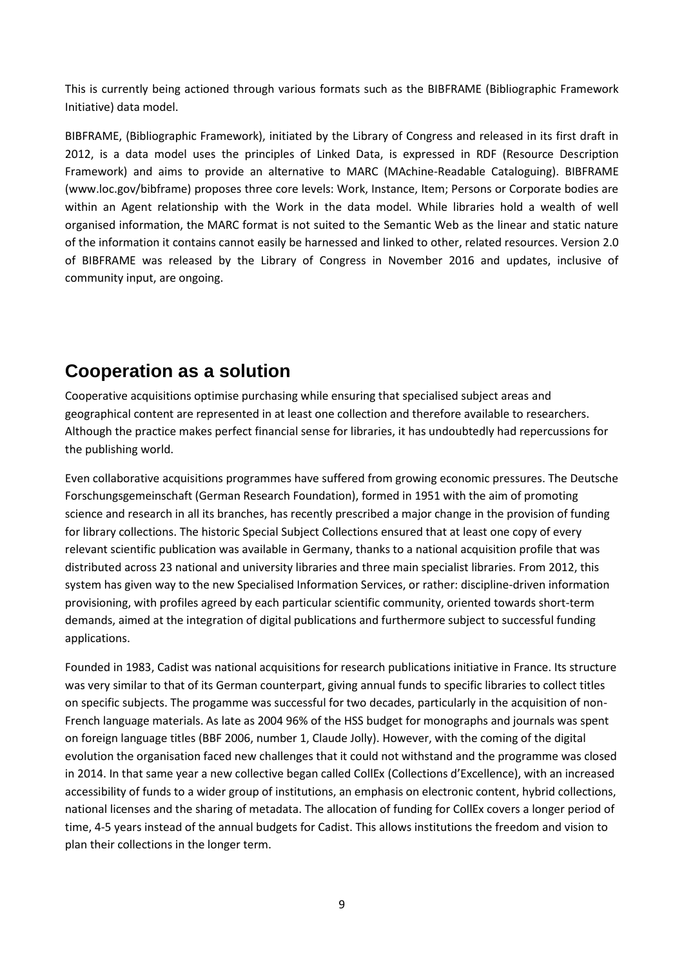This is currently being actioned through various formats such as the BIBFRAME (Bibliographic Framework Initiative) data model.

BIBFRAME, (Bibliographic Framework), initiated by the Library of Congress and released in its first draft in 2012, is a data model uses the principles of Linked Data, is expressed in RDF (Resource Description Framework) and aims to provide an alternative to MARC (MAchine-Readable Cataloguing). BIBFRAME (www.loc.gov/bibframe) proposes three core levels: Work, Instance, Item; Persons or Corporate bodies are within an Agent relationship with the Work in the data model. While libraries hold a wealth of well organised information, the MARC format is not suited to the Semantic Web as the linear and static nature of the information it contains cannot easily be harnessed and linked to other, related resources. Version 2.0 of BIBFRAME was released by the Library of Congress in November 2016 and updates, inclusive of community input, are ongoing.

### **Cooperation as a solution**

Cooperative acquisitions optimise purchasing while ensuring that specialised subject areas and geographical content are represented in at least one collection and therefore available to researchers. Although the practice makes perfect financial sense for libraries, it has undoubtedly had repercussions for the publishing world.

Even collaborative acquisitions programmes have suffered from growing economic pressures. The Deutsche Forschungsgemeinschaft (German Research Foundation), formed in 1951 with the aim of promoting science and research in all its branches, has recently prescribed a major change in the provision of funding for library collections. The historic Special Subject Collections ensured that at least one copy of every relevant scientific publication was available in Germany, thanks to a national acquisition profile that was distributed across 23 national and university libraries and three main specialist libraries. From 2012, this system has given way to the new Specialised Information Services, or rather: discipline-driven information provisioning, with profiles agreed by each particular scientific community, oriented towards short-term demands, aimed at the integration of digital publications and furthermore subject to successful funding applications.

Founded in 1983, Cadist was national acquisitions for research publications initiative in France. Its structure was very similar to that of its German counterpart, giving annual funds to specific libraries to collect titles on specific subjects. The progamme was successful for two decades, particularly in the acquisition of non-French language materials. As late as 2004 96% of the HSS budget for monographs and journals was spent on foreign language titles (BBF 2006, number 1, Claude Jolly). However, with the coming of the digital evolution the organisation faced new challenges that it could not withstand and the programme was closed in 2014. In that same year a new collective began called CollEx (Collections d'Excellence), with an increased accessibility of funds to a wider group of institutions, an emphasis on electronic content, hybrid collections, national licenses and the sharing of metadata. The allocation of funding for CollEx covers a longer period of time, 4-5 years instead of the annual budgets for Cadist. This allows institutions the freedom and vision to plan their collections in the longer term.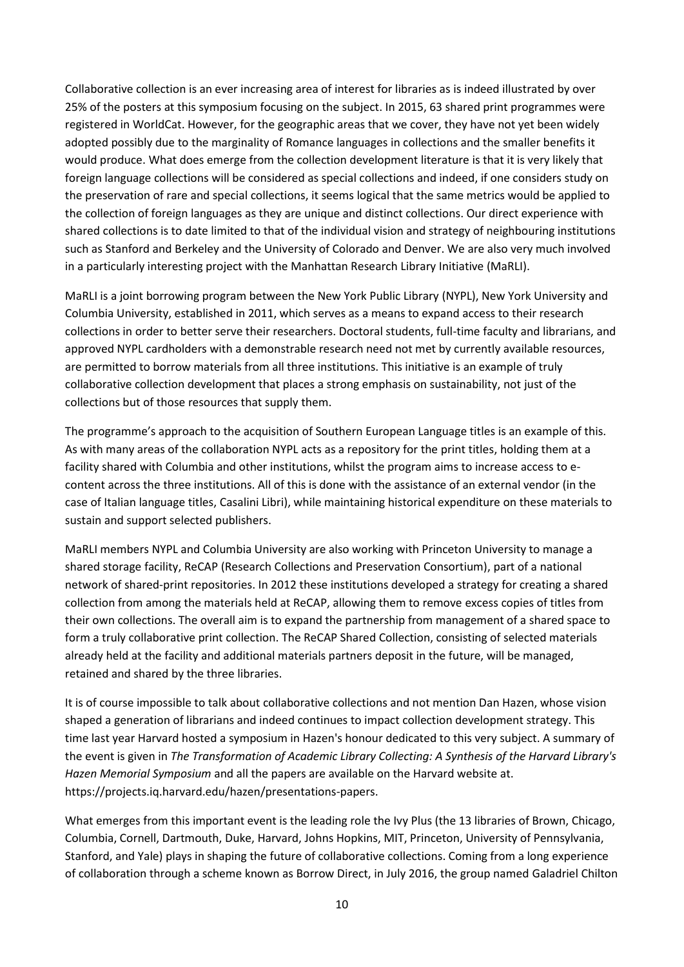Collaborative collection is an ever increasing area of interest for libraries as is indeed illustrated by over 25% of the posters at this symposium focusing on the subject. In 2015, 63 shared print programmes were registered in WorldCat. However, for the geographic areas that we cover, they have not yet been widely adopted possibly due to the marginality of Romance languages in collections and the smaller benefits it would produce. What does emerge from the collection development literature is that it is very likely that foreign language collections will be considered as special collections and indeed, if one considers study on the preservation of rare and special collections, it seems logical that the same metrics would be applied to the collection of foreign languages as they are unique and distinct collections. Our direct experience with shared collections is to date limited to that of the individual vision and strategy of neighbouring institutions such as Stanford and Berkeley and the University of Colorado and Denver. We are also very much involved in a particularly interesting project with the Manhattan Research Library Initiative (MaRLI).

MaRLI is a joint borrowing program between the New York Public Library (NYPL), New York University and Columbia University, established in 2011, which serves as a means to expand access to their research collections in order to better serve their researchers. Doctoral students, full-time faculty and librarians, and approved NYPL cardholders with a demonstrable research need not met by currently available resources, are permitted to borrow materials from all three institutions. This initiative is an example of truly collaborative collection development that places a strong emphasis on sustainability, not just of the collections but of those resources that supply them.

The programme's approach to the acquisition of Southern European Language titles is an example of this. As with many areas of the collaboration NYPL acts as a repository for the print titles, holding them at a facility shared with Columbia and other institutions, whilst the program aims to increase access to econtent across the three institutions. All of this is done with the assistance of an external vendor (in the case of Italian language titles, Casalini Libri), while maintaining historical expenditure on these materials to sustain and support selected publishers.

MaRLI members NYPL and Columbia University are also working with Princeton University to manage a shared storage facility, ReCAP (Research Collections and Preservation Consortium), part of a national network of shared-print repositories. In 2012 these institutions developed a strategy for creating a shared collection from among the materials held at ReCAP, allowing them to remove excess copies of titles from their own collections. The overall aim is to expand the partnership from management of a shared space to form a truly collaborative print collection. The ReCAP Shared Collection, consisting of selected materials already held at the facility and additional materials partners deposit in the future, will be managed, retained and shared by the three libraries.

It is of course impossible to talk about collaborative collections and not mention Dan Hazen, whose vision shaped a generation of librarians and indeed continues to impact collection development strategy. This time last year Harvard hosted a symposium in Hazen's honour dedicated to this very subject. A summary of the event is given in *The Transformation of Academic Library Collecting: A Synthesis of the Harvard Library's Hazen Memorial Symposium* and all the papers are available on the Harvard website at. https://projects.iq.harvard.edu/hazen/presentations-papers.

What emerges from this important event is the leading role the Ivy Plus (the 13 libraries of Brown, Chicago, Columbia, Cornell, Dartmouth, Duke, Harvard, Johns Hopkins, MIT, Princeton, University of Pennsylvania, Stanford, and Yale) plays in shaping the future of collaborative collections. Coming from a long experience of collaboration through a scheme known as Borrow Direct, in July 2016, the group named Galadriel Chilton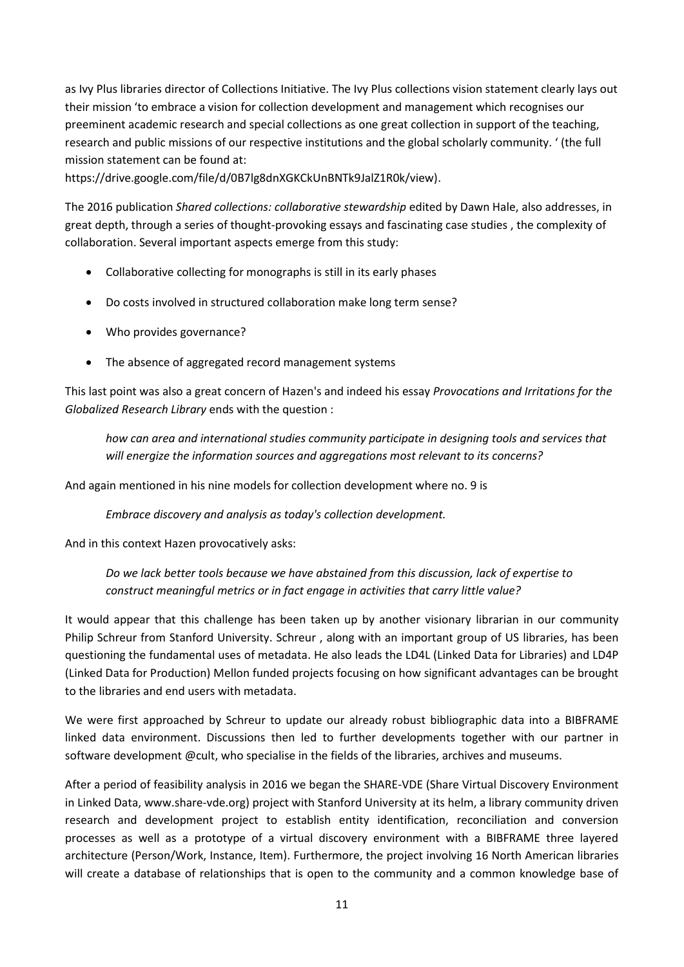as Ivy Plus libraries director of Collections Initiative. The Ivy Plus collections vision statement clearly lays out their mission 'to embrace a vision for collection development and management which recognises our preeminent academic research and special collections as one great collection in support of the teaching, research and public missions of our respective institutions and the global scholarly community. ' (the full mission statement can be found at:

https://drive.google.com/file/d/0B7lg8dnXGKCkUnBNTk9JalZ1R0k/view).

The 2016 publication *Shared collections: collaborative stewardship* edited by Dawn Hale, also addresses, in great depth, through a series of thought-provoking essays and fascinating case studies , the complexity of collaboration. Several important aspects emerge from this study:

- Collaborative collecting for monographs is still in its early phases
- Do costs involved in structured collaboration make long term sense?
- Who provides governance?
- The absence of aggregated record management systems

This last point was also a great concern of Hazen's and indeed his essay *Provocations and Irritations for the Globalized Research Library* ends with the question :

*how can area and international studies community participate in designing tools and services that will energize the information sources and aggregations most relevant to its concerns?*

And again mentioned in his nine models for collection development where no. 9 is

*Embrace discovery and analysis as today's collection development.*

And in this context Hazen provocatively asks:

*Do we lack better tools because we have abstained from this discussion, lack of expertise to construct meaningful metrics or in fact engage in activities that carry little value?*

It would appear that this challenge has been taken up by another visionary librarian in our community Philip Schreur from Stanford University. Schreur , along with an important group of US libraries, has been questioning the fundamental uses of metadata. He also leads the LD4L (Linked Data for Libraries) and LD4P (Linked Data for Production) Mellon funded projects focusing on how significant advantages can be brought to the libraries and end users with metadata.

We were first approached by Schreur to update our already robust bibliographic data into a BIBFRAME linked data environment. Discussions then led to further developments together with our partner in software development @cult, who specialise in the fields of the libraries, archives and museums.

After a period of feasibility analysis in 2016 we began the SHARE-VDE (Share Virtual Discovery Environment in Linked Data, www.share-vde.org) project with Stanford University at its helm, a library community driven research and development project to establish entity identification, reconciliation and conversion processes as well as a prototype of a virtual discovery environment with a BIBFRAME three layered architecture (Person/Work, Instance, Item). Furthermore, the project involving 16 North American libraries will create a database of relationships that is open to the community and a common knowledge base of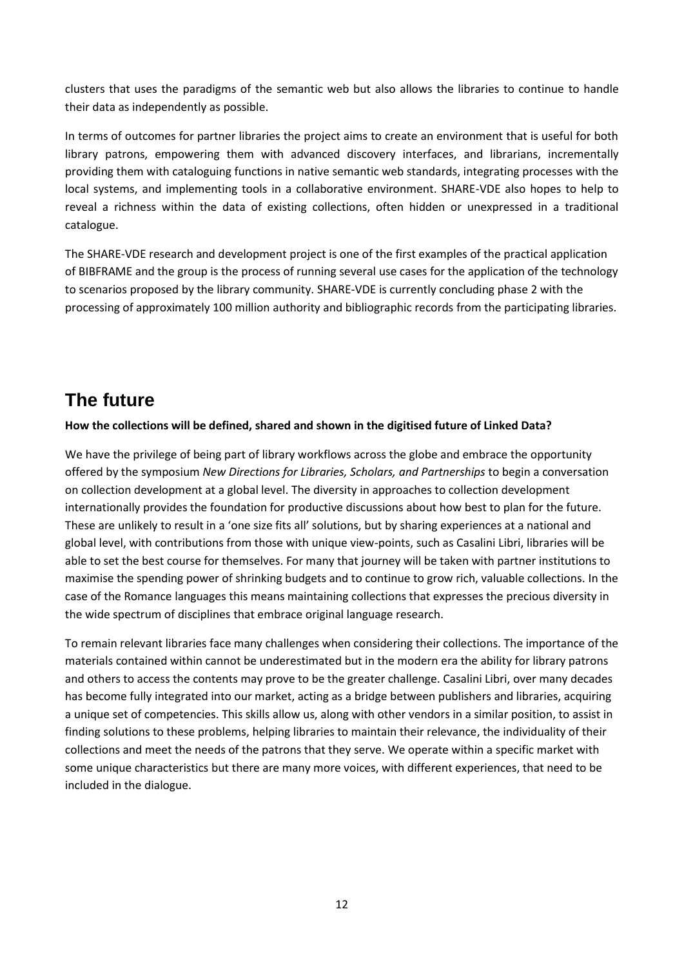clusters that uses the paradigms of the semantic web but also allows the libraries to continue to handle their data as independently as possible.

In terms of outcomes for partner libraries the project aims to create an environment that is useful for both library patrons, empowering them with advanced discovery interfaces, and librarians, incrementally providing them with cataloguing functions in native semantic web standards, integrating processes with the local systems, and implementing tools in a collaborative environment. SHARE-VDE also hopes to help to reveal a richness within the data of existing collections, often hidden or unexpressed in a traditional catalogue.

The SHARE-VDE research and development project is one of the first examples of the practical application of BIBFRAME and the group is the process of running several use cases for the application of the technology to scenarios proposed by the library community. SHARE-VDE is currently concluding phase 2 with the processing of approximately 100 million authority and bibliographic records from the participating libraries.

### **The future**

#### **How the collections will be defined, shared and shown in the digitised future of Linked Data?**

We have the privilege of being part of library workflows across the globe and embrace the opportunity offered by the symposium *New Directions for Libraries, Scholars, and Partnerships* to begin a conversation on collection development at a global level. The diversity in approaches to collection development internationally provides the foundation for productive discussions about how best to plan for the future. These are unlikely to result in a 'one size fits all' solutions, but by sharing experiences at a national and global level, with contributions from those with unique view-points, such as Casalini Libri, libraries will be able to set the best course for themselves. For many that journey will be taken with partner institutions to maximise the spending power of shrinking budgets and to continue to grow rich, valuable collections. In the case of the Romance languages this means maintaining collections that expresses the precious diversity in the wide spectrum of disciplines that embrace original language research.

To remain relevant libraries face many challenges when considering their collections. The importance of the materials contained within cannot be underestimated but in the modern era the ability for library patrons and others to access the contents may prove to be the greater challenge. Casalini Libri, over many decades has become fully integrated into our market, acting as a bridge between publishers and libraries, acquiring a unique set of competencies. This skills allow us, along with other vendors in a similar position, to assist in finding solutions to these problems, helping libraries to maintain their relevance, the individuality of their collections and meet the needs of the patrons that they serve. We operate within a specific market with some unique characteristics but there are many more voices, with different experiences, that need to be included in the dialogue.